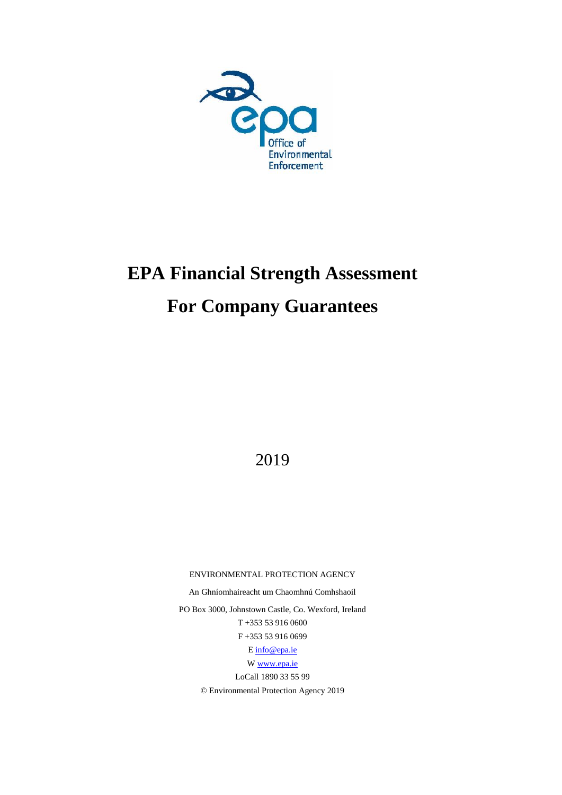

# **EPA Financial Strength Assessment For Company Guarantees**

2019

ENVIRONMENTAL PROTECTION AGENCY

An Ghníomhaireacht um Chaomhnú Comhshaoil

PO Box 3000, Johnstown Castle, Co. Wexford, Ireland T +353 53 916 0600 F +353 53 916 0699

[E info@epa.ie](mailto:info@epa.ie)

[W www.epa.ie](http://www.epa.ie/)

LoCall 1890 33 55 99 © Environmental Protection Agency 2019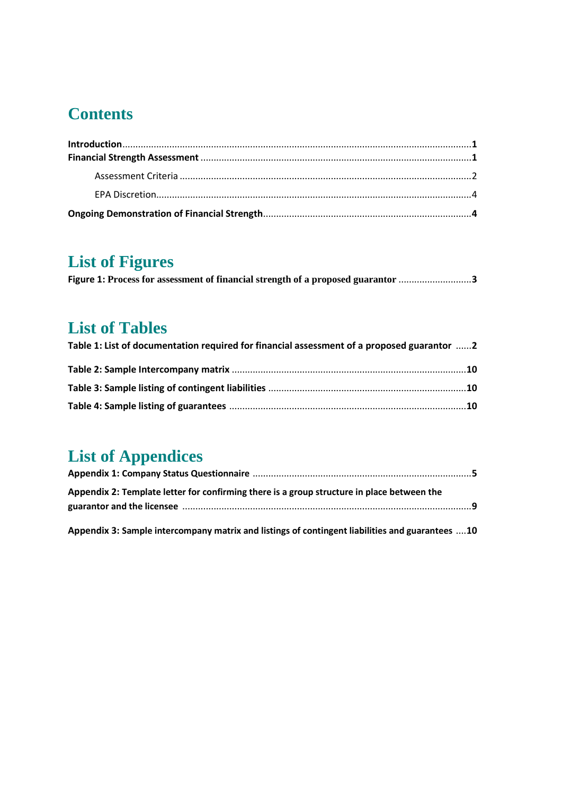# **Contents**

| $\label{lem:1} \textbf{Introduction}.\textcolor{red}{\textbf{1:}} \textbf{1:} \textbf{1:} \textbf{2:} \textbf{3:} \textbf{4:} \textbf{4:} \textbf{5:} \textbf{5:} \textbf{6:} \textbf{6:} \textbf{7:} \textbf{8:} \textbf{8:} \textbf{9:} \textbf{1:} \textbf{1:} \textbf{1:} \textbf{1:} \textbf{1:} \textbf{1:} \textbf{1:} \textbf{1:} \textbf{1:} \textbf{1:} \textbf{1:} \textbf{1:} \textbf{1:} \textbf{1$ |  |
|------------------------------------------------------------------------------------------------------------------------------------------------------------------------------------------------------------------------------------------------------------------------------------------------------------------------------------------------------------------------------------------------------------------|--|
|                                                                                                                                                                                                                                                                                                                                                                                                                  |  |
|                                                                                                                                                                                                                                                                                                                                                                                                                  |  |
|                                                                                                                                                                                                                                                                                                                                                                                                                  |  |
|                                                                                                                                                                                                                                                                                                                                                                                                                  |  |
|                                                                                                                                                                                                                                                                                                                                                                                                                  |  |

# **List of Figures**

|  | Figure 1: Process for assessment of financial strength of a proposed guarantor 3 |
|--|----------------------------------------------------------------------------------|
|  |                                                                                  |

# **List of Tables**

| Table 1: List of documentation required for financial assessment of a proposed guarantor  2 |  |
|---------------------------------------------------------------------------------------------|--|
|                                                                                             |  |
|                                                                                             |  |
|                                                                                             |  |

# **List of Appendices**

| Appendix 2: Template letter for confirming there is a group structure in place between the |  |
|--------------------------------------------------------------------------------------------|--|
|                                                                                            |  |
|                                                                                            |  |

**Appendix 3: Sample intercompany matrix and listings of contingent liabilities and guarantees** ....**10**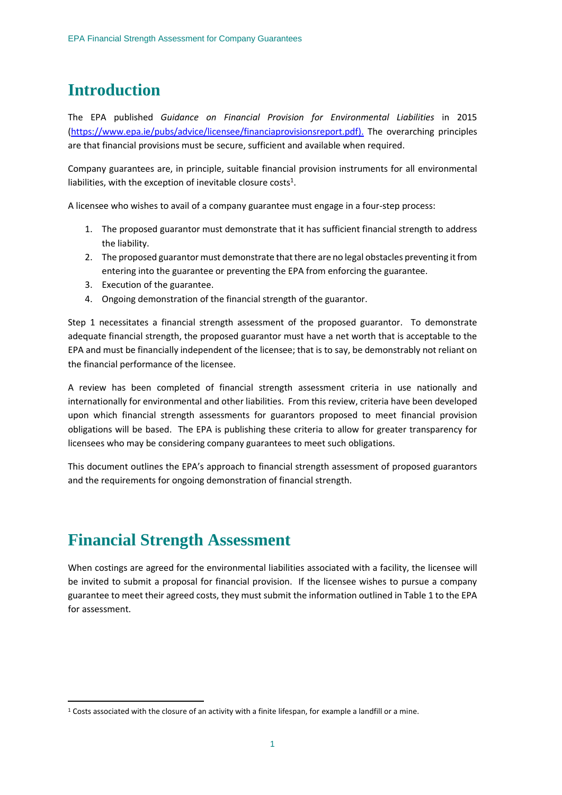## **Introduction**

The EPA published *Guidance on Financial Provision for Environmental Liabilities* in 2015 [\(https://www.epa.ie/pubs/advice/licensee/financiaprovisionsreport.pdf\)](https://www.epa.ie/pubs/advice/licensee/financiaprovisionsreport.pdf). The overarching principles are that financial provisions must be secure, sufficient and available when required.

Company guarantees are, in principle, suitable financial provision instruments for all environmental liabilities, with the exception of inevitable closure costs<sup>1</sup>.

A licensee who wishes to avail of a company guarantee must engage in a four-step process:

- 1. The proposed guarantor must demonstrate that it has sufficient financial strength to address the liability.
- 2. The proposed guarantor must demonstrate that there are no legal obstacles preventing it from entering into the guarantee or preventing the EPA from enforcing the guarantee.
- 3. Execution of the guarantee.
- 4. Ongoing demonstration of the financial strength of the guarantor.

Step 1 necessitates a financial strength assessment of the proposed guarantor. To demonstrate adequate financial strength, the proposed guarantor must have a net worth that is acceptable to the EPA and must be financially independent of the licensee; that is to say, be demonstrably not reliant on the financial performance of the licensee.

A review has been completed of financial strength assessment criteria in use nationally and internationally for environmental and other liabilities. From this review, criteria have been developed upon which financial strength assessments for guarantors proposed to meet financial provision obligations will be based. The EPA is publishing these criteria to allow for greater transparency for licensees who may be considering company guarantees to meet such obligations.

This document outlines the EPA's approach to financial strength assessment of proposed guarantors and the requirements for ongoing demonstration of financial strength.

### **Financial Strength Assessment**

**.** 

When costings are agreed for the environmental liabilities associated with a facility, the licensee will be invited to submit a proposal for financial provision. If the licensee wishes to pursue a company guarantee to meet their agreed costs, they must submit the information outlined in Table 1 to the EPA for assessment.

<sup>1</sup> Costs associated with the closure of an activity with a finite lifespan, for example a landfill or a mine.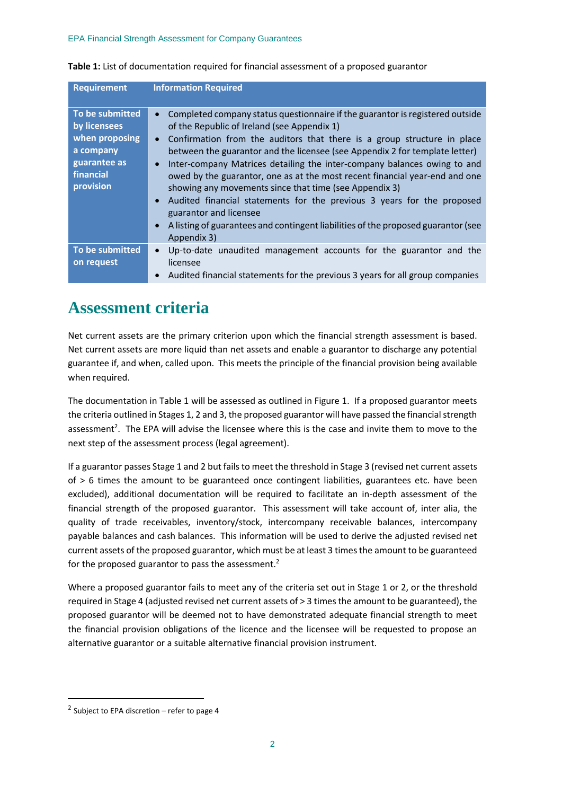| <b>Requirement</b>                                                                                       | <b>Information Required</b>                                                                                                                                                                                                                                                                                                                                                                                                                                                                                                                                                                                                                                                                                         |
|----------------------------------------------------------------------------------------------------------|---------------------------------------------------------------------------------------------------------------------------------------------------------------------------------------------------------------------------------------------------------------------------------------------------------------------------------------------------------------------------------------------------------------------------------------------------------------------------------------------------------------------------------------------------------------------------------------------------------------------------------------------------------------------------------------------------------------------|
| To be submitted<br>by licensees<br>when proposing<br>a company<br>guarantee as<br>financial<br>provision | Completed company status questionnaire if the guarantor is registered outside<br>of the Republic of Ireland (see Appendix 1)<br>Confirmation from the auditors that there is a group structure in place<br>between the guarantor and the licensee (see Appendix 2 for template letter)<br>Inter-company Matrices detailing the inter-company balances owing to and<br>owed by the guarantor, one as at the most recent financial year-end and one<br>showing any movements since that time (see Appendix 3)<br>Audited financial statements for the previous 3 years for the proposed<br>guarantor and licensee<br>A listing of guarantees and contingent liabilities of the proposed guarantor (see<br>Appendix 3) |
| To be submitted<br>on request                                                                            | Up-to-date unaudited management accounts for the guarantor and the<br>licensee<br>Audited financial statements for the previous 3 years for all group companies                                                                                                                                                                                                                                                                                                                                                                                                                                                                                                                                                     |

#### **Table 1:** List of documentation required for financial assessment of a proposed guarantor

### **Assessment criteria**

Net current assets are the primary criterion upon which the financial strength assessment is based. Net current assets are more liquid than net assets and enable a guarantor to discharge any potential guarantee if, and when, called upon. This meets the principle of the financial provision being available when required.

The documentation in Table 1 will be assessed as outlined in Figure 1. If a proposed guarantor meets the criteria outlined in Stages 1, 2 and 3, the proposed guarantor will have passed the financial strength assessment<sup>2</sup>. The EPA will advise the licensee where this is the case and invite them to move to the next step of the assessment process (legal agreement).

If a guarantor passes Stage 1 and 2 but fails to meet the threshold in Stage 3 (revised net current assets of > 6 times the amount to be guaranteed once contingent liabilities, guarantees etc. have been excluded), additional documentation will be required to facilitate an in-depth assessment of the financial strength of the proposed guarantor. This assessment will take account of, inter alia, the quality of trade receivables, inventory/stock, intercompany receivable balances, intercompany payable balances and cash balances. This information will be used to derive the adjusted revised net current assets of the proposed guarantor, which must be at least 3 times the amount to be guaranteed for the proposed guarantor to pass the assessment.<sup>2</sup>

Where a proposed guarantor fails to meet any of the criteria set out in Stage 1 or 2, or the threshold required in Stage 4 (adjusted revised net current assets of > 3 times the amount to be guaranteed), the proposed guarantor will be deemed not to have demonstrated adequate financial strength to meet the financial provision obligations of the licence and the licensee will be requested to propose an alternative guarantor or a suitable alternative financial provision instrument.

 $\overline{a}$ 

 $2$  Subject to EPA discretion – refer to page 4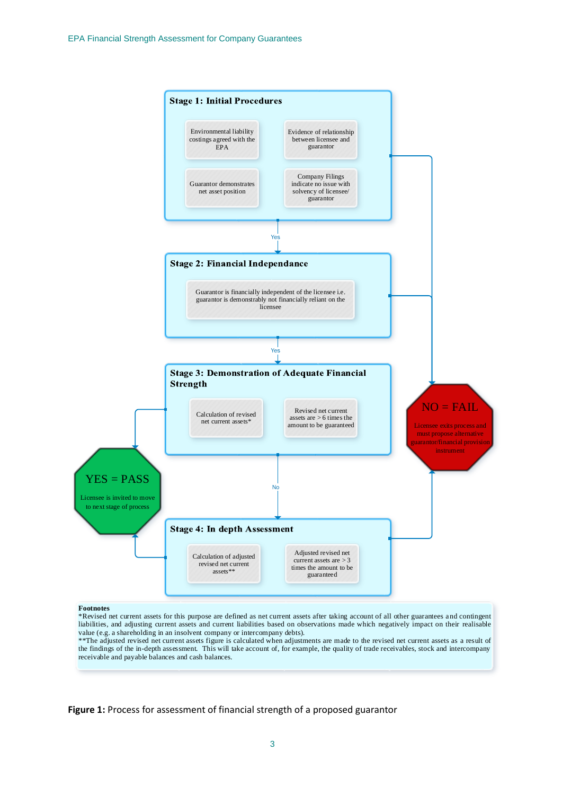

**Figure 1:** Process for assessment of financial strength of a proposed guarantor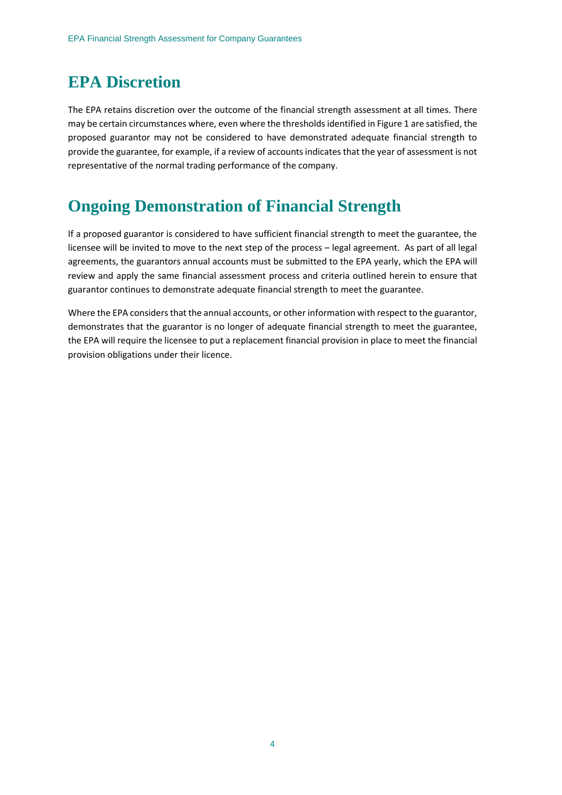# **EPA Discretion**

The EPA retains discretion over the outcome of the financial strength assessment at all times. There may be certain circumstances where, even where the thresholds identified in Figure 1 are satisfied, the proposed guarantor may not be considered to have demonstrated adequate financial strength to provide the guarantee, for example, if a review of accounts indicates that the year of assessment is not representative of the normal trading performance of the company.

# **Ongoing Demonstration of Financial Strength**

If a proposed guarantor is considered to have sufficient financial strength to meet the guarantee, the licensee will be invited to move to the next step of the process – legal agreement. As part of all legal agreements, the guarantors annual accounts must be submitted to the EPA yearly, which the EPA will review and apply the same financial assessment process and criteria outlined herein to ensure that guarantor continues to demonstrate adequate financial strength to meet the guarantee.

Where the EPA considers that the annual accounts, or other information with respect to the guarantor, demonstrates that the guarantor is no longer of adequate financial strength to meet the guarantee, the EPA will require the licensee to put a replacement financial provision in place to meet the financial provision obligations under their licence.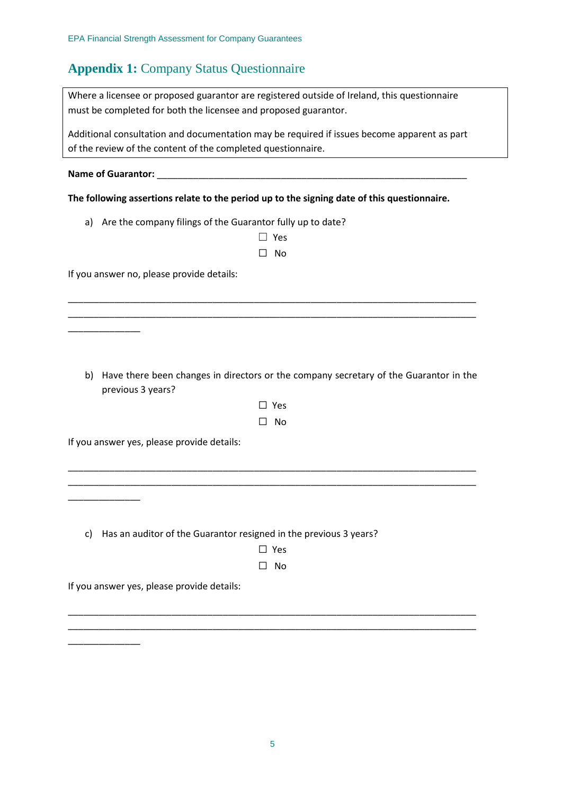### **Appendix 1:** Company Status Questionnaire

| Where a licensee or proposed guarantor are registered outside of Ireland, this questionnaire |
|----------------------------------------------------------------------------------------------|
| must be completed for both the licensee and proposed guarantor.                              |

Additional consultation and documentation may be required if issues become apparent as part of the review of the content of the completed questionnaire.

**Name of Guarantor:** \_\_\_\_\_\_\_\_\_\_\_\_\_\_\_\_\_\_\_\_\_\_\_\_\_\_\_\_\_\_\_\_\_\_\_\_\_\_\_\_\_\_\_\_\_\_\_\_\_\_\_\_\_\_\_\_\_\_\_\_

\_\_\_\_\_\_\_\_\_\_\_\_\_\_

\_\_\_\_\_\_\_\_\_\_\_\_\_\_

\_\_\_\_\_\_\_\_\_\_\_\_\_\_

**The following assertions relate to the period up to the signing date of this questionnaire.**

a) Are the company filings of the Guarantor fully up to date?

| $\Box$ Yes |  |
|------------|--|
| □ No       |  |

\_\_\_\_\_\_\_\_\_\_\_\_\_\_\_\_\_\_\_\_\_\_\_\_\_\_\_\_\_\_\_\_\_\_\_\_\_\_\_\_\_\_\_\_\_\_\_\_\_\_\_\_\_\_\_\_\_\_\_\_\_\_\_\_\_\_\_\_\_\_\_\_\_\_\_\_\_\_\_ \_\_\_\_\_\_\_\_\_\_\_\_\_\_\_\_\_\_\_\_\_\_\_\_\_\_\_\_\_\_\_\_\_\_\_\_\_\_\_\_\_\_\_\_\_\_\_\_\_\_\_\_\_\_\_\_\_\_\_\_\_\_\_\_\_\_\_\_\_\_\_\_\_\_\_\_\_\_\_

If you answer no, please provide details:

b) Have there been changes in directors or the company secretary of the Guarantor in the previous 3 years?

| ۹<br>×<br>×<br>۰. |
|-------------------|
|-------------------|

☐ No

\_\_\_\_\_\_\_\_\_\_\_\_\_\_\_\_\_\_\_\_\_\_\_\_\_\_\_\_\_\_\_\_\_\_\_\_\_\_\_\_\_\_\_\_\_\_\_\_\_\_\_\_\_\_\_\_\_\_\_\_\_\_\_\_\_\_\_\_\_\_\_\_\_\_\_\_\_\_\_ \_\_\_\_\_\_\_\_\_\_\_\_\_\_\_\_\_\_\_\_\_\_\_\_\_\_\_\_\_\_\_\_\_\_\_\_\_\_\_\_\_\_\_\_\_\_\_\_\_\_\_\_\_\_\_\_\_\_\_\_\_\_\_\_\_\_\_\_\_\_\_\_\_\_\_\_\_\_\_

If you answer yes, please provide details:

c) Has an auditor of the Guarantor resigned in the previous 3 years?

| ×<br>۹<br>×<br>۰. |
|-------------------|
|                   |

☐ No

\_\_\_\_\_\_\_\_\_\_\_\_\_\_\_\_\_\_\_\_\_\_\_\_\_\_\_\_\_\_\_\_\_\_\_\_\_\_\_\_\_\_\_\_\_\_\_\_\_\_\_\_\_\_\_\_\_\_\_\_\_\_\_\_\_\_\_\_\_\_\_\_\_\_\_\_\_\_\_ \_\_\_\_\_\_\_\_\_\_\_\_\_\_\_\_\_\_\_\_\_\_\_\_\_\_\_\_\_\_\_\_\_\_\_\_\_\_\_\_\_\_\_\_\_\_\_\_\_\_\_\_\_\_\_\_\_\_\_\_\_\_\_\_\_\_\_\_\_\_\_\_\_\_\_\_\_\_\_

If you answer yes, please provide details: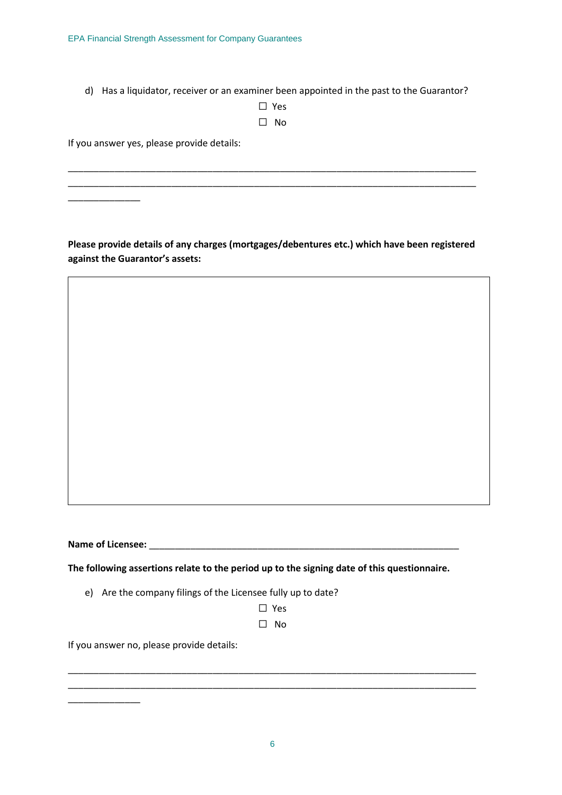d) Has a liquidator, receiver or an examiner been appointed in the past to the Guarantor?

| $\mathsf{L}$ | Yes |
|--------------|-----|
|              | N٥  |

\_\_\_\_\_\_\_\_\_\_\_\_\_\_\_\_\_\_\_\_\_\_\_\_\_\_\_\_\_\_\_\_\_\_\_\_\_\_\_\_\_\_\_\_\_\_\_\_\_\_\_\_\_\_\_\_\_\_\_\_\_\_\_\_\_\_\_\_\_\_\_\_\_\_\_\_\_\_\_ \_\_\_\_\_\_\_\_\_\_\_\_\_\_\_\_\_\_\_\_\_\_\_\_\_\_\_\_\_\_\_\_\_\_\_\_\_\_\_\_\_\_\_\_\_\_\_\_\_\_\_\_\_\_\_\_\_\_\_\_\_\_\_\_\_\_\_\_\_\_\_\_\_\_\_\_\_\_\_

If you answer yes, please provide details:

\_\_\_\_\_\_\_\_\_\_\_\_\_\_

**Please provide details of any charges (mortgages/debentures etc.) which have been registered against the Guarantor's assets:**

**Name of Licensee:** \_\_\_\_\_\_\_\_\_\_\_\_\_\_\_\_\_\_\_\_\_\_\_\_\_\_\_\_\_\_\_\_\_\_\_\_\_\_\_\_\_\_\_\_\_\_\_\_\_\_\_\_\_\_\_\_\_\_\_\_

\_\_\_\_\_\_\_\_\_\_\_\_\_\_

**The following assertions relate to the period up to the signing date of this questionnaire.**

- e) Are the company filings of the Licensee fully up to date?
	- ☐ Yes
	- ☐ No

\_\_\_\_\_\_\_\_\_\_\_\_\_\_\_\_\_\_\_\_\_\_\_\_\_\_\_\_\_\_\_\_\_\_\_\_\_\_\_\_\_\_\_\_\_\_\_\_\_\_\_\_\_\_\_\_\_\_\_\_\_\_\_\_\_\_\_\_\_\_\_\_\_\_\_\_\_\_\_ \_\_\_\_\_\_\_\_\_\_\_\_\_\_\_\_\_\_\_\_\_\_\_\_\_\_\_\_\_\_\_\_\_\_\_\_\_\_\_\_\_\_\_\_\_\_\_\_\_\_\_\_\_\_\_\_\_\_\_\_\_\_\_\_\_\_\_\_\_\_\_\_\_\_\_\_\_\_\_

If you answer no, please provide details: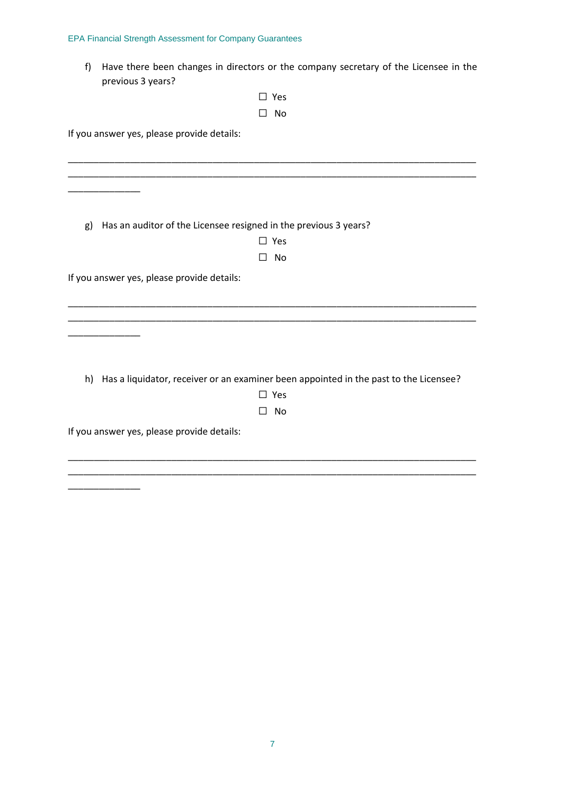#### EPA Financial Strength Assessment for Company Guarantees

f) Have there been changes in directors or the company secretary of the Licensee in the previous 3 years?

| ΙI  | Υρς |
|-----|-----|
| l l | N٥  |

If you answer yes, please provide details:

\_\_\_\_\_\_\_\_\_\_\_\_\_\_

| Has an auditor of the Licensee resigned in the previous 3 years?<br>g) |                                                                                          |
|------------------------------------------------------------------------|------------------------------------------------------------------------------------------|
|                                                                        | $\square$ Yes                                                                            |
|                                                                        | No                                                                                       |
|                                                                        |                                                                                          |
| If you answer yes, please provide details:                             |                                                                                          |
|                                                                        |                                                                                          |
|                                                                        |                                                                                          |
|                                                                        |                                                                                          |
|                                                                        |                                                                                          |
|                                                                        |                                                                                          |
|                                                                        |                                                                                          |
|                                                                        | h) Has a liquidator, receiver or an examiner been appointed in the past to the Licensee? |
|                                                                        | $\square$ Yes                                                                            |
|                                                                        | No<br>$\mathsf{L}$                                                                       |
| If you answer yes, please provide details:                             |                                                                                          |
|                                                                        |                                                                                          |

\_\_\_\_\_\_\_\_\_\_\_\_\_\_\_\_\_\_\_\_\_\_\_\_\_\_\_\_\_\_\_\_\_\_\_\_\_\_\_\_\_\_\_\_\_\_\_\_\_\_\_\_\_\_\_\_\_\_\_\_\_\_\_\_\_\_\_\_\_\_\_\_\_\_\_\_\_\_\_ \_\_\_\_\_\_\_\_\_\_\_\_\_\_\_\_\_\_\_\_\_\_\_\_\_\_\_\_\_\_\_\_\_\_\_\_\_\_\_\_\_\_\_\_\_\_\_\_\_\_\_\_\_\_\_\_\_\_\_\_\_\_\_\_\_\_\_\_\_\_\_\_\_\_\_\_\_\_\_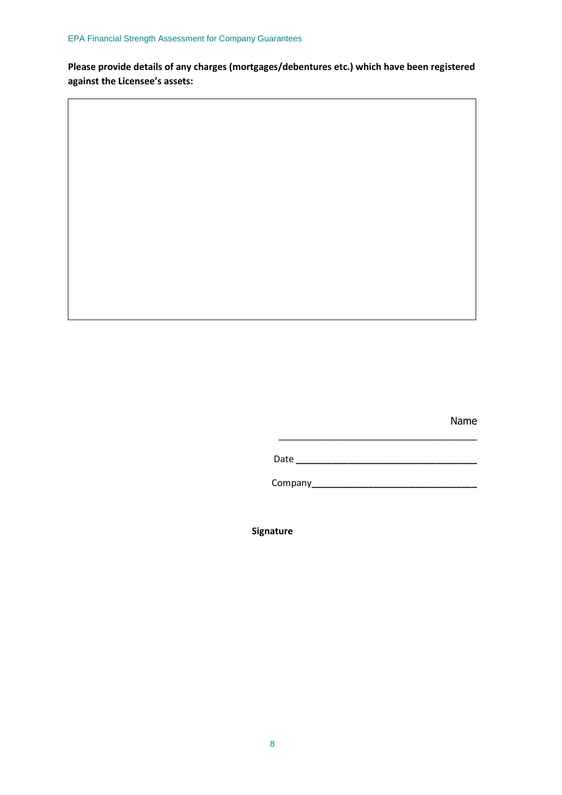**Please provide details of any charges (mortgages/debentures etc.) which have been registered against the Licensee's assets:**

Name

Date **\_\_\_\_\_\_\_\_\_\_\_\_\_\_\_\_\_\_\_\_\_\_\_\_\_\_\_\_\_\_\_\_\_\_\_**

\_\_\_\_\_\_\_\_\_\_\_\_\_\_\_\_\_\_\_\_\_\_\_\_\_\_\_\_\_\_\_\_\_\_\_

Company**\_\_\_\_\_\_\_\_\_\_\_\_\_\_\_\_\_\_\_\_\_\_\_\_\_\_\_\_\_\_\_\_**

**Signature**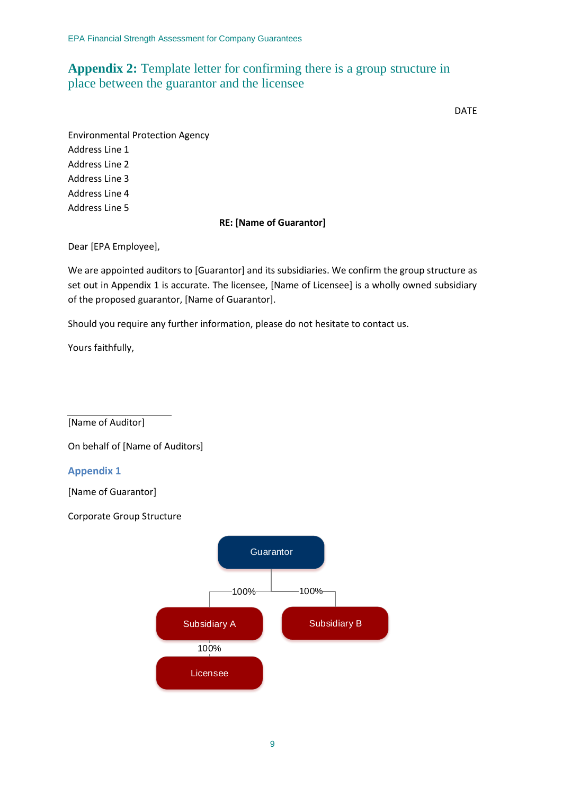#### **Appendix 2:** Template letter for confirming there is a group structure in place between the guarantor and the licensee

DATE

Environmental Protection Agency Address Line 1 Address Line 2 Address Line 3 Address Line 4 Address Line 5

#### **RE: [Name of Guarantor]**

Dear [EPA Employee],

We are appointed auditors to [Guarantor] and its subsidiaries. We confirm the group structure as set out in Appendix 1 is accurate. The licensee, [Name of Licensee] is a wholly owned subsidiary of the proposed guarantor, [Name of Guarantor].

Should you require any further information, please do not hesitate to contact us.

Yours faithfully,

[Name of Auditor]

On behalf of [Name of Auditors]

#### **Appendix 1**

[Name of Guarantor]

Corporate Group Structure